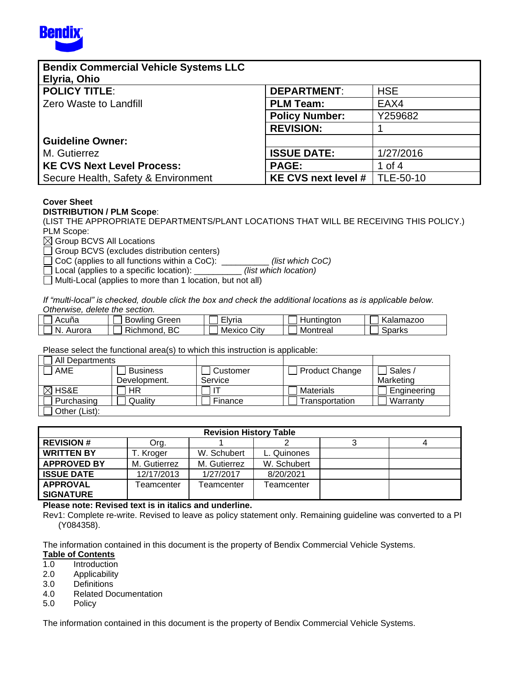

| <b>Bendix Commercial Vehicle Systems LLC</b><br>Elyria, Ohio |                       |            |
|--------------------------------------------------------------|-----------------------|------------|
| <b>POLICY TITLE:</b>                                         | <b>DEPARTMENT:</b>    | <b>HSE</b> |
| <b>Zero Waste to Landfill</b>                                | <b>PLM Team:</b>      | EAX4       |
|                                                              | <b>Policy Number:</b> | Y259682    |
|                                                              | <b>REVISION:</b>      |            |
| <b>Guideline Owner:</b>                                      |                       |            |
| M. Gutierrez                                                 | <b>ISSUE DATE:</b>    | 1/27/2016  |
| <b>KE CVS Next Level Process:</b>                            | <b>PAGE:</b>          | 1 of 4     |
| Secure Health, Safety & Environment                          | KE CVS next level #   | TLE-50-10  |

# **Cover Sheet**

#### **DISTRIBUTION / PLM Scope**:

(LIST THE APPROPRIATE DEPARTMENTS/PLANT LOCATIONS THAT WILL BE RECEIVING THIS POLICY.) PLM Scope:

 $\boxtimes$  Group BCVS All Locations

Group BCVS (excludes distribution centers)

□ CoC (applies to all functions within a CoC): \_\_\_\_\_\_\_\_\_\_\_ *(list which CoC)*<br>□ Local (applies to a specific location): \_\_\_\_\_\_\_\_\_\_ *(list which location)* 

Local (applies to a specific location): \_\_\_\_\_\_\_\_\_\_ *(list which location)*

 $\Box$  Multi-Local (applies to more than 1 location, but not all)

*If "multi-local" is checked, double click the box and check the additional locations as is applicable below. Otherwise, delete the section.* 

| Acuna        | sreen<br><b>BOWIING</b> | - -<br>Elvria  | untinaton<br>⊓ur | Kalamazoo |
|--------------|-------------------------|----------------|------------------|-----------|
| -N<br>Aurora | BC<br><b>Richmond</b>   | City<br>Mexico | Montreal         | Sparks    |

Please select the functional area(s) to which this instruction is applicable:

| All Departments        |         |                                   |               |             |  |
|------------------------|---------|-----------------------------------|---------------|-------------|--|
| AME<br><b>Business</b> |         | <b>Product Change</b><br>Customer |               | Sales       |  |
| Development.           |         | Service                           |               | Marketing   |  |
| $\boxtimes$ HS&E       | HR      |                                   | Materials     | Engineering |  |
| Purchasing             | Qualitv | Finance                           | ransportation | Warranty    |  |
| Other (List):          |         |                                   |               |             |  |

| <b>Revision History Table</b> |              |              |             |  |  |  |  |
|-------------------------------|--------------|--------------|-------------|--|--|--|--|
| <b>REVISION #</b>             | Org.         |              |             |  |  |  |  |
| <b>WRITTEN BY</b>             | T. Kroger    | W. Schubert  | L. Quinones |  |  |  |  |
| <b>APPROVED BY</b>            | M. Gutierrez | M. Gutierrez | W. Schubert |  |  |  |  |
| <b>ISSUE DATE</b>             | 12/17/2013   | 1/27/2017    | 8/20/2021   |  |  |  |  |
| <b>APPROVAL</b>               | Teamcenter   | Геаmcenter   | Γeamcenter  |  |  |  |  |
| <b>SIGNATURE</b>              |              |              |             |  |  |  |  |

#### **Please note: Revised text is in italics and underline.**

Rev1: Complete re-write. Revised to leave as policy statement only. Remaining guideline was converted to a PI (Y084358).

The information contained in this document is the property of Bendix Commercial Vehicle Systems.

#### **Table of Contents**

- 1.0 Introduction
- 2.0 Applicability
- 3.0 Definitions
- 4.0 Related Documentation
- 5.0 Policy

The information contained in this document is the property of Bendix Commercial Vehicle Systems.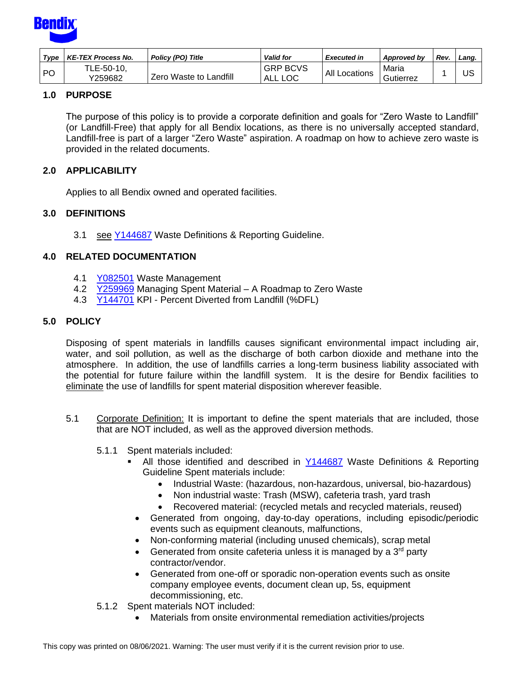

| Type      | <b>KE-TEX Process No.</b> | Policy (PO) Title      | <b>Valid for</b>           | <b>Executed in</b>   | Approved by        | Rev | Land. |
|-----------|---------------------------|------------------------|----------------------------|----------------------|--------------------|-----|-------|
| <b>PO</b> | TLE-50-10,<br>Y259682     | Zero Waste to Landfill | <b>GRP BCVS</b><br>ALL LOC | <b>All Locations</b> | Maria<br>Gutierrez |     | US    |

# **1.0 PURPOSE**

The purpose of this policy is to provide a corporate definition and goals for "Zero Waste to Landfill" (or Landfill-Free) that apply for all Bendix locations, as there is no universally accepted standard, Landfill-free is part of a larger "Zero Waste" aspiration. A roadmap on how to achieve zero waste is provided in the related documents.

# **2.0 APPLICABILITY**

Applies to all Bendix owned and operated facilities.

## **3.0 DEFINITIONS**

3.1 see [Y144687](http://a2wls.grp.knorr-bremse.com:3131/GetCVSPLMProcDoc.htm?id=Y144687&language=US) Waste Definitions & Reporting Guideline.

## **4.0 RELATED DOCUMENTATION**

- 4.1 **[Y082501](http://a2wls.grp.knorr-bremse.com:3131/GetCVSPLMProcDoc.htm?id=Y082501&language=US)** Waste Management
- 4.2 [Y259969](http://a2wls.grp.knorr-bremse.com:3131/GetCVSPLMProcDoc.htm?id=Y259969&language=US) Managing Spent Material A Roadmap to Zero Waste
- 4.3 [Y144701](http://a2wls.grp.knorr-bremse.com:3131/GetCVSPLMProcDoc.htm?id=Y144701&language=US) KPI Percent Diverted from Landfill (%DFL)

## **5.0 POLICY**

Disposing of spent materials in landfills causes significant environmental impact including air, water, and soil pollution, as well as the discharge of both carbon dioxide and methane into the atmosphere. In addition, the use of landfills carries a long-term business liability associated with the potential for future failure within the landfill system. It is the desire for Bendix facilities to eliminate the use of landfills for spent material disposition wherever feasible.

- 5.1 Corporate Definition: It is important to define the spent materials that are included, those that are NOT included, as well as the approved diversion methods.
	- 5.1.1 Spent materials included:
		- All those identified and described in [Y144687](http://a2wls.grp.knorr-bremse.com:3131/GetCVSPLMProcDoc.htm?id=Y144687&language=US) Waste Definitions & Reporting Guideline Spent materials include:
			- Industrial Waste: (hazardous, non-hazardous, universal, bio-hazardous)
			- Non industrial waste: Trash (MSW), cafeteria trash, yard trash
			- Recovered material: (recycled metals and recycled materials, reused)
		- Generated from ongoing, day-to-day operations, including episodic/periodic events such as equipment cleanouts, malfunctions,
		- Non-conforming material (including unused chemicals), scrap metal
		- Generated from onsite cafeteria unless it is managed by a  $3<sup>rd</sup>$  party contractor/vendor.
		- Generated from one-off or sporadic non-operation events such as onsite company employee events, document clean up, 5s, equipment decommissioning, etc.
	- 5.1.2 Spent materials NOT included:
		- Materials from onsite environmental remediation activities/projects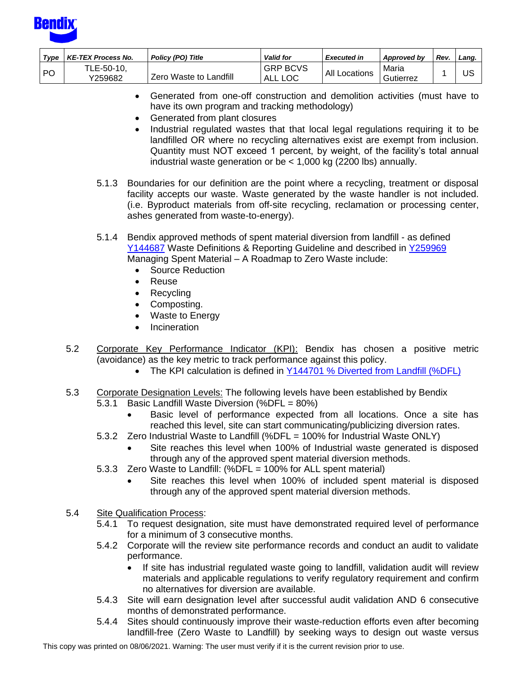

| Type | <b>KE-TEX Process No.</b> | Policy (PO) Title      | <b>Valid for</b>           | <b>Executed in</b>   | Approved by        | Rev | Land. |
|------|---------------------------|------------------------|----------------------------|----------------------|--------------------|-----|-------|
| PO   | TLE-50-10,<br>Y259682     | Zero Waste to Landfill | <b>GRP BCVS</b><br>ALL LOC | <b>All Locations</b> | Maria<br>Gutierrez |     | บร    |

- Generated from one-off construction and demolition activities (must have to have its own program and tracking methodology)
- Generated from plant closures
- Industrial regulated wastes that that local legal regulations requiring it to be landfilled OR where no recycling alternatives exist are exempt from inclusion. Quantity must NOT exceed 1 percent, by weight, of the facility's total annual industrial waste generation or be < 1,000 kg (2200 lbs) annually.
- 5.1.3 Boundaries for our definition are the point where a recycling, treatment or disposal facility accepts our waste. Waste generated by the waste handler is not included. (i.e. Byproduct materials from off-site recycling, reclamation or processing center, ashes generated from waste-to-energy).
- 5.1.4 Bendix approved methods of spent material diversion from landfill as defined [Y144687](http://a2wls.grp.knorr-bremse.com:3131/GetCVSPLMProcDoc.htm?id=Y144687&language=US) Waste Definitions & Reporting Guideline and described in [Y259969](http://a2wls.grp.knorr-bremse.com:3131/GetCVSPLMProcDoc.htm?id=Y259969&language=US) Managing Spent Material – A Roadmap to Zero Waste include:
	- Source Reduction
	- Reuse
	- Recycling
	- Composting.
	- Waste to Energy
	- Incineration
- 5.2 Corporate Key Performance Indicator (KPI): Bendix has chosen a positive metric (avoidance) as the key metric to track performance against this policy.
	- The KPI calculation is defined in Y144701 % Diverted from Landfill (%DFL)
- 5.3 Corporate Designation Levels: The following levels have been established by Bendix 5.3.1 Basic Landfill Waste Diversion (%DFL = 80%)
	- Basic level of performance expected from all locations. Once a site has reached this level, site can start communicating/publicizing diversion rates.
	- 5.3.2 Zero Industrial Waste to Landfill (%DFL = 100% for Industrial Waste ONLY)
		- Site reaches this level when 100% of Industrial waste generated is disposed through any of the approved spent material diversion methods.
	- 5.3.3 Zero Waste to Landfill: (%DFL = 100% for ALL spent material)
		- Site reaches this level when 100% of included spent material is disposed through any of the approved spent material diversion methods.
- 5.4 Site Qualification Process:
	- 5.4.1 To request designation, site must have demonstrated required level of performance for a minimum of 3 consecutive months.
	- 5.4.2 Corporate will the review site performance records and conduct an audit to validate performance.
		- If site has industrial regulated waste going to landfill, validation audit will review materials and applicable regulations to verify regulatory requirement and confirm no alternatives for diversion are available.
	- 5.4.3 Site will earn designation level after successful audit validation AND 6 consecutive months of demonstrated performance.
	- 5.4.4 Sites should continuously improve their waste-reduction efforts even after becoming landfill-free (Zero Waste to Landfill) by seeking ways to design out waste versus

This copy was printed on 08/06/2021. Warning: The user must verify if it is the current revision prior to use.